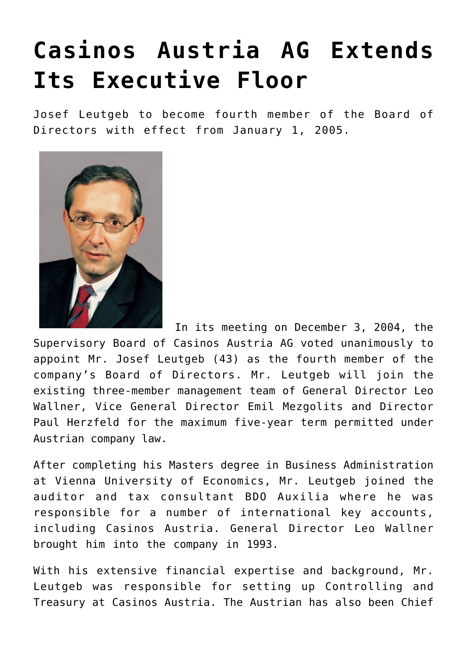## **[Casinos Austria AG Extends](https://www.isa-guide.de/english-news/articles/7745.html) [Its Executive Floor](https://www.isa-guide.de/english-news/articles/7745.html)**

Josef Leutgeb to become fourth member of the Board of Directors with effect from January 1, 2005.



 In its meeting on December 3, 2004, the Supervisory Board of Casinos Austria AG voted unanimously to appoint Mr. Josef Leutgeb (43) as the fourth member of the company's Board of Directors. Mr. Leutgeb will join the existing three-member management team of General Director Leo Wallner, Vice General Director Emil Mezgolits and Director Paul Herzfeld for the maximum five-year term permitted under Austrian company law.

After completing his Masters degree in Business Administration at Vienna University of Economics, Mr. Leutgeb joined the auditor and tax consultant BDO Auxilia where he was responsible for a number of international key accounts, including Casinos Austria. General Director Leo Wallner brought him into the company in 1993.

With his extensive financial expertise and background, Mr. Leutgeb was responsible for setting up Controlling and Treasury at Casinos Austria. The Austrian has also been Chief